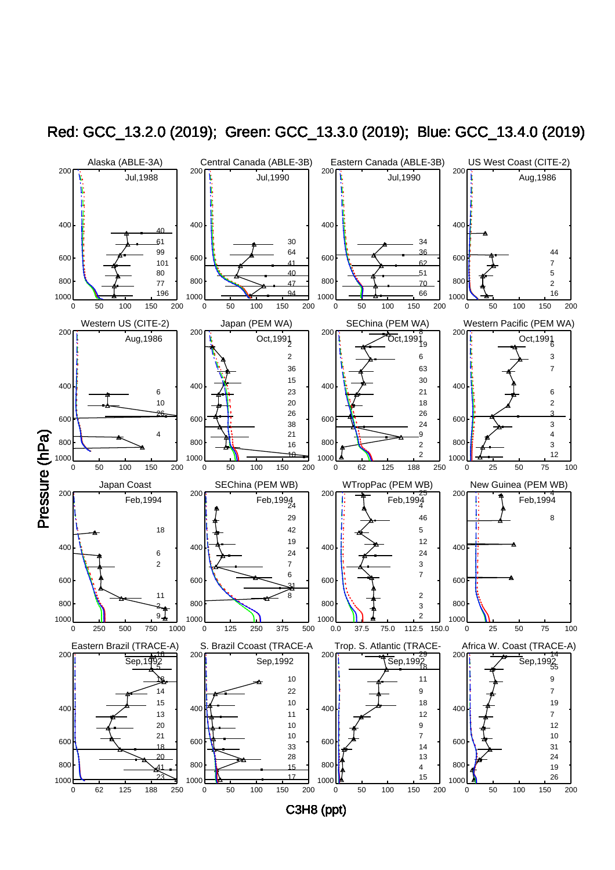

Red: GCC\_13.2.0 (2019); Green: GCC\_13.3.0 (2019); Blue: GCC\_13.4.0 (2019)

C3H8 (ppt)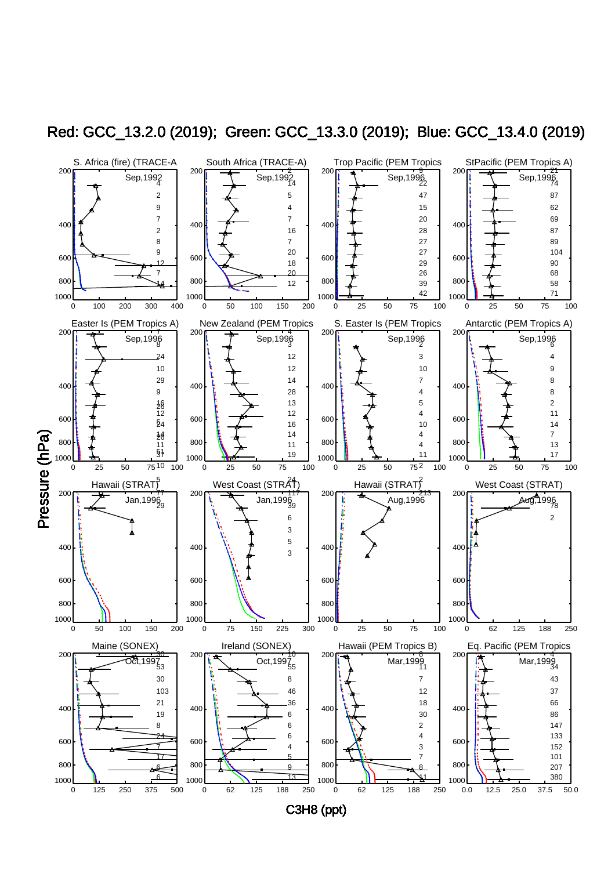

Red: GCC\_13.2.0 (2019); Green: GCC\_13.3.0 (2019); Blue: GCC\_13.4.0 (2019)

C3H8 (ppt)